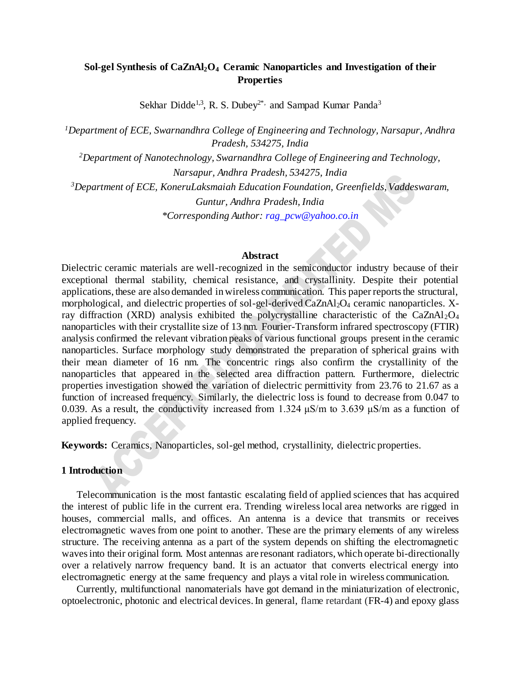## **Sol-gel Synthesis of CaZnAl2O<sup>4</sup> Ceramic Nanoparticles and Investigation of their Properties**

Sekhar Didde<sup>1,3</sup>, R. S. Dubey<sup>2\*,</sup> and Sampad Kumar Panda<sup>3</sup>

*<sup>1</sup>Department of ECE, Swarnandhra College of Engineering and Technology, Narsapur, Andhra Pradesh, 534275, India <sup>2</sup>Department of Nanotechnology, Swarnandhra College of Engineering and Technology, Narsapur, Andhra Pradesh, 534275, India <sup>3</sup>Department of ECE, KoneruLaksmaiah Education Foundation, Greenfields, Vaddeswaram, Guntur, Andhra Pradesh, India \*Corresponding Author: [rag\\_pcw@yahoo.co.in](mailto:rag_pcw@yahoo.co.in)*

#### **Abstract**

Dielectric ceramic materials are well-recognized in the semiconductor industry because of their exceptional thermal stability, chemical resistance, and crystallinity. Despite their potential applications, these are also demanded in wireless communication. This paper reports the structural, morphological, and dielectric properties of sol-gel-derived CaZnAl<sub>2</sub>O<sub>4</sub> ceramic nanoparticles. Xray diffraction (XRD) analysis exhibited the polycrystalline characteristic of the  $CaZnAl<sub>2</sub>O<sub>4</sub>$ nanoparticles with their crystallite size of 13 nm. Fourier-Transform infrared spectroscopy (FTIR) analysis confirmed the relevant vibration peaks of various functional groups present in the ceramic nanoparticles. Surface morphology study demonstrated the preparation of spherical grains with their mean diameter of 16 nm. The concentric rings also confirm the crystallinity of the nanoparticles that appeared in the selected area diffraction pattern. Furthermore, dielectric properties investigation showed the variation of dielectric permittivity from 23.76 to 21.67 as a function of increased frequency. Similarly, the dielectric loss is found to decrease from 0.047 to 0.039. As a result, the conductivity increased from 1.324  $\mu$ S/m to 3.639  $\mu$ S/m as a function of applied frequency.

**Keywords:** Ceramics, Nanoparticles, sol-gel method, crystallinity, dielectric properties.

#### **1 Introduction**

Telecommunication is the most fantastic escalating field of applied sciences that has acquired the interest of public life in the current era. Trending wireless local area networks are rigged in houses, commercial malls, and offices. An antenna is a device that transmits or receives electromagnetic waves from one point to another. These are the primary elements of any wireless structure. The receiving antenna as a part of the system depends on shifting the electromagnetic waves into their original form. Most antennas are resonant radiators, which operate bi-directionally over a relatively narrow frequency band. It is an actuator that converts electrical energy into electromagnetic energy at the same frequency and plays a vital role in wireless communication.

Currently, multifunctional nanomaterials have got demand in the miniaturization of electronic, optoelectronic, photonic and electrical devices. In general, flame retardant (FR-4) and epoxy glass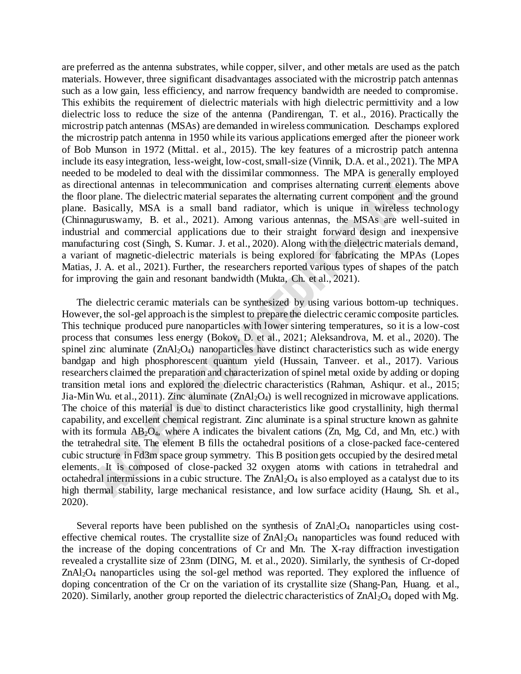are preferred as the antenna substrates, while copper, silver, and other metals are used as the patch materials. However, three significant disadvantages associated with the microstrip patch antennas such as a low gain, less efficiency, and narrow frequency bandwidth are needed to compromise. This exhibits the requirement of dielectric materials with high dielectric permittivity and a low dielectric loss to reduce the size of the antenna (Pandirengan, T. et al., 2016). Practically the microstrip patch antennas (MSAs) are demanded in wireless communication. Deschamps explored the microstrip patch antenna in 1950 while its various applications emerged after the pioneer work of Bob Munson in 1972 (Mittal. et al., 2015). The key features of a microstrip patch antenna include its easy integration, less-weight, low-cost, small-size (Vinnik, D.A. et al., 2021). The MPA needed to be modeled to deal with the dissimilar commonness. The MPA is generally employed as directional antennas in telecommunication and comprises alternating current elements above the floor plane. The dielectric material separates the alternating current component and the ground plane. Basically, MSA is a small band radiator, which is unique in wireless technology (Chinnaguruswamy, B. et al., 2021). Among various antennas, the MSAs are well-suited in industrial and commercial applications due to their straight forward design and inexpensive manufacturing cost (Singh, S. Kumar. J. et al., 2020). Along with the dielectric materials demand, a variant of magnetic-dielectric materials is being explored for fabricating the MPAs (Lopes Matias, J. A. et al., 2021). Further, the researchers reported various types of shapes of the patch for improving the gain and resonant bandwidth (Mukta, Ch. et al., 2021).

The dielectric ceramic materials can be synthesized by using various bottom-up techniques. However, the sol-gel approach is the simplest to prepare the dielectric ceramic composite particles. This technique produced pure nanoparticles with lower sintering temperatures, so it is a low-cost process that consumes less energy (Bokov, D. et al., 2021; Aleksandrova, M. et al., 2020). The spinel zinc aluminate  $(ZnA1_2O_4)$  nanoparticles have distinct characteristics such as wide energy bandgap and high phosphorescent quantum yield (Hussain, Tanveer. et al., 2017). Various researchers claimed the preparation and characterization of spinel metal oxide by adding or doping transition metal ions and explored the dielectric characteristics (Rahman, Ashiqur. et al., 2015; Jia-Min Wu. et al., 2011). Zinc aluminate  $(ZnAl<sub>2</sub>O<sub>4</sub>)$  is well recognized in microwave applications. The choice of this material is due to distinct characteristics like good crystallinity, high thermal capability, and excellent chemical registrant. Zinc aluminate is a spinal structure known as gahnite with its formula  $AB_2O_4$ , where A indicates the bivalent cations  $(Zn, Mg, Cd, and Mn, etc.)$  with the tetrahedral site. The element B fills the octahedral positions of a close-packed face-centered cubic structure in Fd3m space group symmetry. This B position gets occupied by the desired metal elements. It is composed of close-packed 32 oxygen atoms with cations in tetrahedral and octahedral intermissions in a cubic structure. The  $ZnA<sub>12</sub>O<sub>4</sub>$  is also employed as a catalyst due to its high thermal stability, large mechanical resistance, and low surface acidity (Haung, Sh. et al., 2020).

Several reports have been published on the synthesis of ZnAl<sub>2</sub>O<sub>4</sub> nanoparticles using costeffective chemical routes. The crystallite size of  $ZnAl<sub>2</sub>O<sub>4</sub>$  nanoparticles was found reduced with the increase of the doping concentrations of Cr and Mn. The X-ray diffraction investigation revealed a crystallite size of 23nm (DING, M. et al., 2020). Similarly, the synthesis of Cr-doped ZnAl<sub>2</sub>O<sub>4</sub> nanoparticles using the sol-gel method was reported. They explored the influence of doping concentration of the Cr on the variation of its crystallite size (Shang-Pan, Huang. et al., 2020). Similarly, another group reported the dielectric characteristics of  $ZnAl_2O_4$  doped with Mg.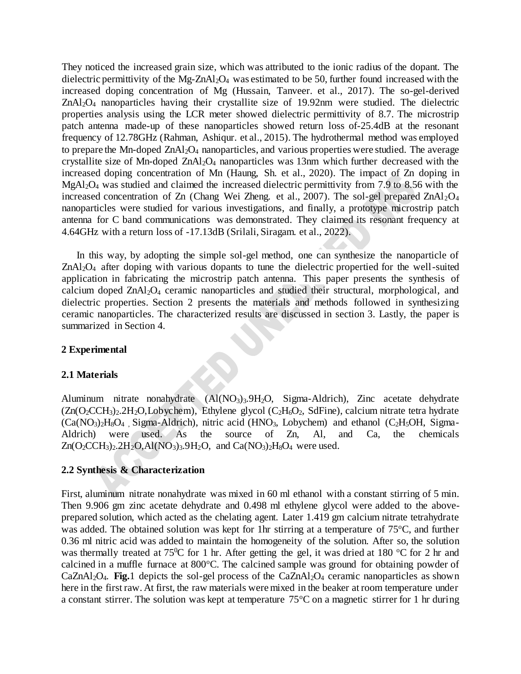They noticed the increased grain size, which was attributed to the ionic radius of the dopant. The dielectric permittivity of the Mg-ZnAl<sub>2</sub>O<sub>4</sub> was estimated to be 50, further found increased with the increased doping concentration of Mg (Hussain, Tanveer. et al., 2017). The so-gel-derived ZnAl2O4 nanoparticles having their crystallite size of 19.92nm were studied. The dielectric properties analysis using the LCR meter showed dielectric permittivity of 8.7. The microstrip patch antenna made-up of these nanoparticles showed return loss of-25.4dB at the resonant frequency of 12.78GHz (Rahman, Ashiqur. et al., 2015). The hydrothermal method was employed to prepare the Mn-doped ZnAl<sub>2</sub>O<sub>4</sub> nanoparticles, and various properties were studied. The average crystallite size of Mn-doped  $ZnAl_2O_4$  nanoparticles was 13nm which further decreased with the increased doping concentration of Mn (Haung, Sh. et al., 2020). The impact of Zn doping in MgAl2O<sup>4</sup> was studied and claimed the increased dielectric permittivity from 7.9 to 8.56 with the increased concentration of Zn (Chang Wei Zheng. et al., 2007). The sol-gel prepared  $ZnAl_2O_4$ nanoparticles were studied for various investigations, and finally, a prototype microstrip patch antenna for C band communications was demonstrated. They claimed its resonant frequency at 4.64GHz with a return loss of -17.13dB (Srilali, Siragam. et al., 2022).

In this way, by adopting the simple sol-gel method, one can synthesize the nanoparticle of ZnAl2O<sup>4</sup> after doping with various dopants to tune the dielectric propertied for the well-suited application in fabricating the microstrip patch antenna. This paper presents the synthesis of calcium doped ZnAl2O4 ceramic nanoparticles and studied their structural, morphological, and dielectric properties. Section 2 presents the materials and methods followed in synthesizing ceramic nanoparticles. The characterized results are discussed in section 3. Lastly, the paper is summarized in Section 4.

### **2 Experimental**

### **2.1 Materials**

Aluminum nitrate nonahydrate (Al(NO3)3.9H2O, Sigma-Aldrich), Zinc acetate dehydrate  $(Zn(O_2CCH_3)_2.2H_2O, Lobychem)$ , Ethylene glycol  $(C_2H_6O_2, SdFine)$ , calcium nitrate tetra hydrate  $(Ca(NO<sub>3</sub>)<sub>2</sub>H<sub>8</sub>O<sub>4</sub>$ , Sigma-Aldrich), nitric acid (HNO<sub>3</sub>, Lobychem) and ethanol (C<sub>2</sub>H<sub>5</sub>OH, Sigma-Aldrich) were used. As the source of Zn, Al, and Ca, the chemicals  $Zn(O_2CCH_3)_2.2H_2O, Al(NO_3)_3.9H_2O$ , and  $Ca(NO_3)_2H_8O_4$  were used.

### **2.2 Synthesis & Characterization**

First, aluminum nitrate nonahydrate was mixed in 60 ml ethanol with a constant stirring of 5 min. Then 9.906 gm zinc acetate dehydrate and 0.498 ml ethylene glycol were added to the aboveprepared solution, which acted as the chelating agent. Later 1.419 gm calcium nitrate tetrahydrate was added. The obtained solution was kept for 1hr stirring at a temperature of 75°C, and further 0.36 ml nitric acid was added to maintain the homogeneity of the solution. After so, the solution was thermally treated at  $75^{\circ}$ C for 1 hr. After getting the gel, it was dried at 180  $^{\circ}$ C for 2 hr and calcined in a muffle furnace at  $800^{\circ}$ C. The calcined sample was ground for obtaining powder of  $CaZnAl<sub>2</sub>O<sub>4</sub>$ . **Fig.**1 depicts the sol-gel process of the  $CaZnAl<sub>2</sub>O<sub>4</sub>$  ceramic nanoparticles as shown here in the first raw. At first, the raw materials were mixed in the beaker at room temperature under a constant stirrer. The solution was kept at temperature  $75^{\circ}$ C on a magnetic stirrer for 1 hr during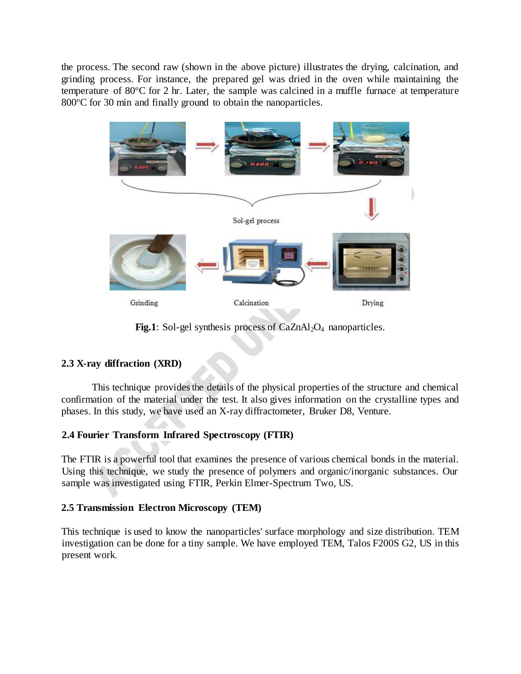the process. The second raw (shown in the above picture) illustrates the drying, calcination, and grinding process. For instance, the prepared gel was dried in the oven while maintaining the temperature of  $80^{\circ}$ C for 2 hr. Later, the sample was calcined in a muffle furnace at temperature 800°C for 30 min and finally ground to obtain the nanoparticles.



Fig.1: Sol-gel synthesis process of CaZnAl<sub>2</sub>O<sub>4</sub> nanoparticles.

# **2.3 X-ray diffraction (XRD)**

This technique provides the details of the physical properties of the structure and chemical confirmation of the material under the test. It also gives information on the crystalline types and phases. In this study, we have used an X-ray diffractometer, Bruker D8, Venture.

# **2.4 Fourier Transform Infrared Spectroscopy (FTIR)**

The FTIR is a powerful tool that examines the presence of various chemical bonds in the material. Using this technique, we study the presence of polymers and organic/inorganic substances. Our sample was investigated using FTIR, Perkin Elmer-Spectrum Two, US.

# **2.5 Transmission Electron Microscopy (TEM)**

This technique is used to know the nanoparticles' surface morphology and size distribution. TEM investigation can be done for a tiny sample. We have employed TEM, Talos F200S G2, US in this present work.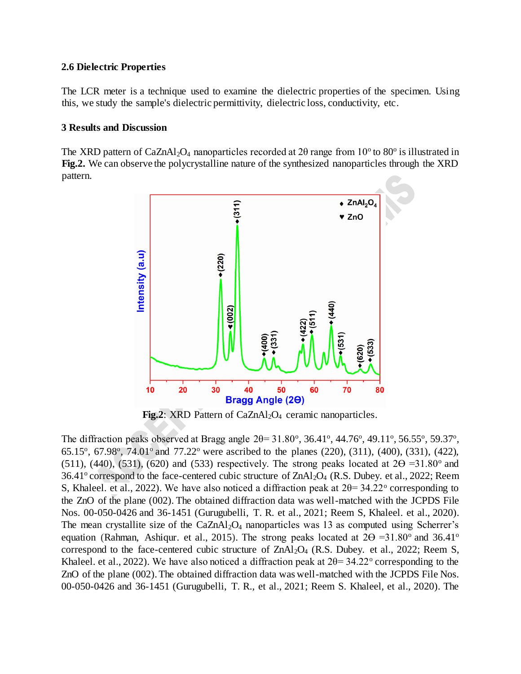### **2.6 Dielectric Properties**

The LCR meter is a technique used to examine the dielectric properties of the specimen. Using this, we study the sample's dielectric permittivity, dielectric loss, conductivity, etc.

## **3 Results and Discussion**

The XRD pattern of CaZnAl<sub>2</sub>O<sub>4</sub> nanoparticles recorded at 20 range from  $10^{\circ}$  to  $80^{\circ}$  is illustrated in **Fig.2.** We can observe the polycrystalline nature of the synthesized nanoparticles through the XRD pattern.



**Fig.2**: XRD Pattern of CaZnAl<sub>2</sub>O<sub>4</sub> ceramic nanoparticles.

The diffraction peaks observed at Bragg angle  $2\theta = 31.80^{\circ}$ ,  $36.41^{\circ}$ ,  $44.76^{\circ}$ ,  $49.11^{\circ}$ ,  $56.55^{\circ}$ ,  $59.37^{\circ}$ , 65.15°, 67.98°, 74.01° and 77.22° were ascribed to the planes (220), (311), (400), (331), (422), (511), (440), (531), (620) and (533) respectively. The strong peaks located at  $2\Theta = 31.80^{\circ}$  and  $36.41^{\circ}$  correspond to the face-centered cubic structure of  $ZnAl_2O_4$  (R.S. Dubey. et al., 2022; Reem S, Khaleel. et al., 2022). We have also noticed a diffraction peak at  $2\theta = 34.22^{\circ}$  corresponding to the ZnO of the plane (002). The obtained diffraction data was well-matched with the JCPDS File Nos. 00-050-0426 and 36-1451 (Gurugubelli, T. R. et al., 2021; Reem S, Khaleel. et al., 2020). The mean crystallite size of the  $CaZnAl<sub>2</sub>O<sub>4</sub>$  nanoparticles was 13 as computed using Scherrer's equation (Rahman, Ashiqur. et al., 2015). The strong peaks located at  $2\Theta = 31.80^{\circ}$  and 36.41<sup>o</sup> correspond to the face-centered cubic structure of  $ZnA1_2O_4$  (R.S. Dubey. et al., 2022; Reem S, Khaleel. et al., 2022). We have also noticed a diffraction peak at  $2\theta = 34.22^{\circ}$  corresponding to the ZnO of the plane (002). The obtained diffraction data was well-matched with the JCPDS File Nos. 00-050-0426 and 36-1451 (Gurugubelli, T. R., et al., 2021; Reem S. Khaleel, et al., 2020). The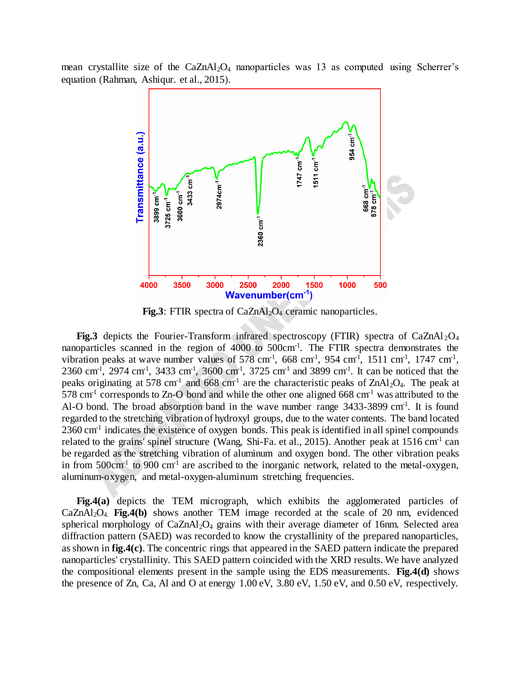mean crystallite size of the  $CaZnAl<sub>2</sub>O<sub>4</sub>$  nanoparticles was 13 as computed using Scherrer's equation (Rahman, Ashiqur. et al., 2015).



**Fig.3**: FTIR spectra of CaZnAl<sub>2</sub>O<sub>4</sub> ceramic nanoparticles.

**Fig.3** depicts the Fourier-Transform infrared spectroscopy (FTIR) spectra of CaZnAl<sub>2</sub>O<sub>4</sub> nanoparticles scanned in the region of 4000 to 500cm<sup>-1</sup>. The FTIR spectra demonstrates the vibration peaks at wave number values of  $578 \text{ cm}^1$ ,  $668 \text{ cm}^1$ ,  $954 \text{ cm}^1$ ,  $1511 \text{ cm}^1$ ,  $1747 \text{ cm}^1$ ,  $2360 \text{ cm}^1$ ,  $2974 \text{ cm}^1$ ,  $3433 \text{ cm}^1$ ,  $3600 \text{ cm}^1$ ,  $3725 \text{ cm}^1$  and  $3899 \text{ cm}^1$ . It can be noticed that the peaks originating at 578 cm<sup>-1</sup> and 668 cm<sup>-1</sup> are the characteristic peaks of  $ZnAl_2O_4$ . The peak at  $578 \text{ cm}^1$  corresponds to Zn-O bond and while the other one aligned 668 cm<sup>-1</sup> was attributed to the Al-O bond. The broad absorption band in the wave number range 3433-3899 cm<sup>-1</sup>. It is found regarded to the stretching vibration of hydroxyl groups, due to the water contents. The band located 2360 cm<sup>-1</sup> indicates the existence of oxygen bonds. This peak is identified in all spinel compounds related to the grains' spinel structure (Wang, Shi-Fa. et al., 2015). Another peak at  $1516 \text{ cm}^{-1}$  can be regarded as the stretching vibration of aluminum and oxygen bond. The other vibration peaks in from  $500 \text{cm}^{-1}$  to  $900 \text{cm}^{-1}$  are ascribed to the inorganic network, related to the metal-oxygen, aluminum-oxygen, and metal-oxygen-aluminum stretching frequencies.

**Fig.4(a)** depicts the TEM micrograph, which exhibits the agglomerated particles of CaZnAl2O4. **Fig.4(b)** shows another TEM image recorded at the scale of 20 nm, evidenced spherical morphology of  $CaZnAl<sub>2</sub>O<sub>4</sub>$  grains with their average diameter of 16nm. Selected area diffraction pattern (SAED) was recorded to know the crystallinity of the prepared nanoparticles, as shown in **fig.4(c)**. The concentric rings that appeared in the SAED pattern indicate the prepared nanoparticles' crystallinity. This SAED pattern coincided with the XRD results. We have analyzed the compositional elements present in the sample using the EDS measurements. **Fig.4(d)** shows the presence of Zn, Ca, Al and O at energy 1.00 eV, 3.80 eV, 1.50 eV, and 0.50 eV, respectively.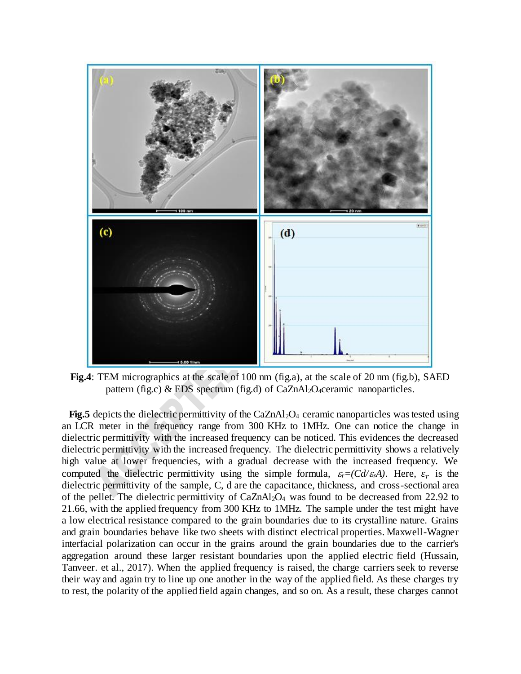

**Fig.4**: TEM micrographics at the scale of 100 nm (fig.a), at the scale of 20 nm (fig.b), SAED pattern (fig.c) & EDS spectrum (fig.d) of CaZnAl<sub>2</sub>O<sub>4</sub>ceramic nanoparticles.

**Fig.5** depicts the dielectric permittivity of the  $CaZnAl<sub>2</sub>O<sub>4</sub>$  ceramic nanoparticles was tested using an LCR meter in the frequency range from 300 KHz to 1MHz. One can notice the change in dielectric permittivity with the increased frequency can be noticed. This evidences the decreased dielectric permittivity with the increased frequency. The dielectric permittivity shows a relatively high value at lower frequencies, with a gradual decrease with the increased frequency. We computed the dielectric permittivity using the simple formula,  $\varepsilon_r = (Cd/\varepsilon_r A)$ . Here,  $\varepsilon_r$  is the dielectric permittivity of the sample, C, d are the capacitance, thickness, and cross-sectional area of the pellet. The dielectric permittivity of CaZnAl2O<sup>4</sup> was found to be decreased from 22.92 to 21.66, with the applied frequency from 300 KHz to 1MHz. The sample under the test might have a low electrical resistance compared to the grain boundaries due to its crystalline nature. Grains and grain boundaries behave like two sheets with distinct electrical properties. Maxwell-Wagner interfacial polarization can occur in the grains around the grain boundaries due to the carrier's aggregation around these larger resistant boundaries upon the applied electric field (Hussain, Tanveer. et al., 2017). When the applied frequency is raised, the charge carriers seek to reverse their way and again try to line up one another in the way of the applied field. As these charges try to rest, the polarity of the applied field again changes, and so on. As a result, these charges cannot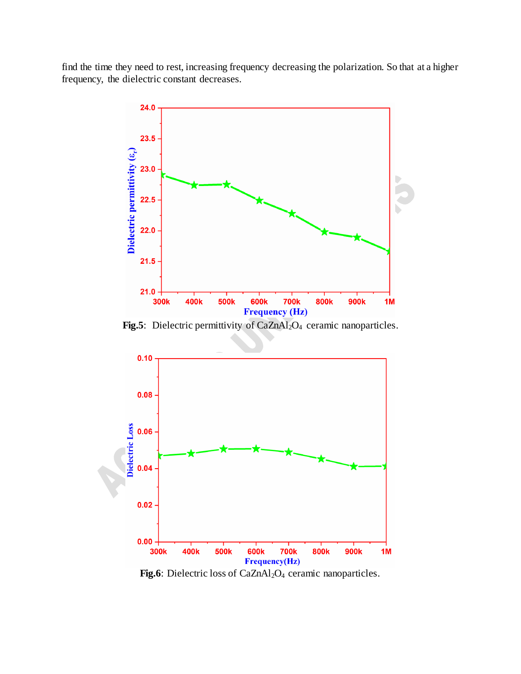find the time they need to rest, increasing frequency decreasing the polarization. So that at a higher frequency, the dielectric constant decreases.



Fig.5: Dielectric permittivity of CaZnAl<sub>2</sub>O<sub>4</sub> ceramic nanoparticles.



Fig.6: Dielectric loss of CaZnAl<sub>2</sub>O<sub>4</sub> ceramic nanoparticles.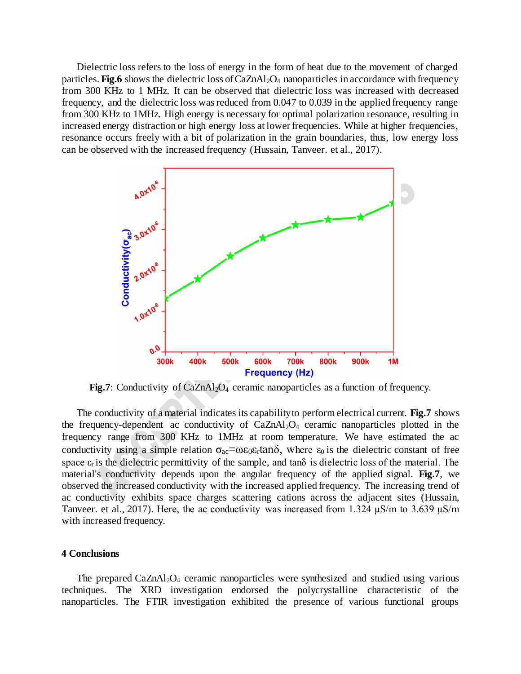Dielectric loss refers to the loss of energy in the form of heat due to the movement of charged particles. **Fig.6** shows the dielectric loss of CaZnAl<sub>2</sub>O<sub>4</sub> nanoparticles in accordance with frequency from 300 KHz to 1 MHz. It can be observed that dielectric loss was increased with decreased frequency, and the dielectric loss was reduced from 0.047 to 0.039 in the applied frequency range from 300 KHz to 1MHz. High energy is necessary for optimal polarization resonance, resulting in increased energy distraction or high energy loss at lower frequencies. While at higher frequencies, resonance occurs freely with a bit of polarization in the grain boundaries, thus, low energy loss can be observed with the increased frequency (Hussain, Tanveer. et al., 2017).



**Fig.7**: Conductivity of CaZnAl<sub>2</sub>O<sub>4</sub> ceramic nanoparticles as a function of frequency.

The conductivity of a material indicates its capability to perform electrical current. **Fig.7** shows the frequency-dependent ac conductivity of CaZnAl2O4 ceramic nanoparticles plotted in the frequency range from 300 KHz to 1MHz at room temperature. We have estimated the ac conductivity using a simple relation  $\sigma_{ac} = \omega \epsilon_0 \epsilon_r \tan \delta$ , where  $\epsilon_0$  is the dielectric constant of free space  $\varepsilon_r$  is the dielectric permittivity of the sample, and tan $\delta$  is dielectric loss of the material. The material's conductivity depends upon the angular frequency of the applied signal. **Fig.7**, we observed the increased conductivity with the increased applied frequency. The increasing trend of ac conductivity exhibits space charges scattering cations across the adjacent sites (Hussain, Tanveer. et al., 2017). Here, the ac conductivity was increased from 1.324  $\mu$ S/m to 3.639  $\mu$ S/m with increased frequency.

### **4 Conclusions**

The prepared CaZnAl<sub>2</sub>O<sub>4</sub> ceramic nanoparticles were synthesized and studied using various techniques. The XRD investigation endorsed the polycrystalline characteristic of the nanoparticles. The FTIR investigation exhibited the presence of various functional groups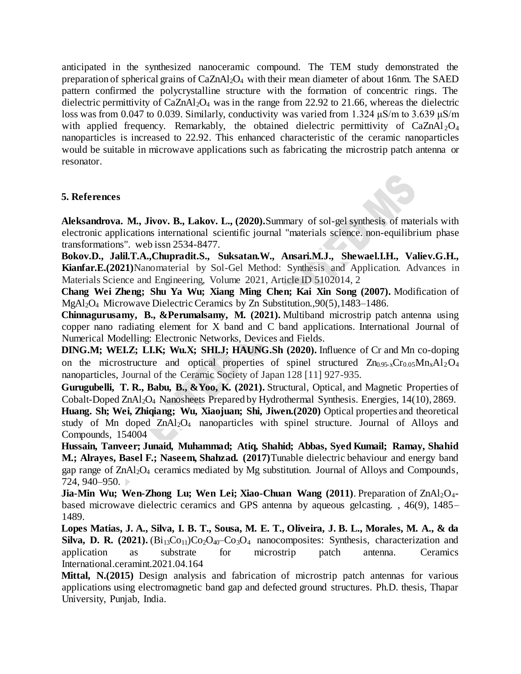anticipated in the synthesized nanoceramic compound. The TEM study demonstrated the preparation of spherical grains of CaZnAl2O<sup>4</sup> with their mean diameter of about 16nm. The SAED pattern confirmed the polycrystalline structure with the formation of concentric rings. The dielectric permittivity of  $CaZnAl<sub>2</sub>O<sub>4</sub>$  was in the range from 22.92 to 21.66, whereas the dielectric loss was from 0.047 to 0.039. Similarly, conductivity was varied from 1.324 μS/m to 3.639 μS/m with applied frequency. Remarkably, the obtained dielectric permittivity of CaZnAl<sub>2</sub>O<sub>4</sub> nanoparticles is increased to 22.92. This enhanced characteristic of the ceramic nanoparticles would be suitable in microwave applications such as fabricating the microstrip patch antenna or resonator.

## **5. References**

**Aleksandrova. M., Jivov. B., Lakov. L., (2020).**Summary of sol-gel synthesis of materials with electronic applications international scientific journal "materials science. non-equilibrium phase transformations". web issn 2534-8477.

**Bokov.D., Jalil.T.A.,Chupradit.S., Suksatan.W., Ansari.M.J., Shewael.I.H., Valiev.G.H., Kianfar.E.(2021)**Nanomaterial by Sol-Gel Method: Synthesis and Application. Advances in Materials Science and Engineering, Volume 2021, Article ID 5102014, 2

**Chang Wei Zheng; Shu Ya Wu; Xiang Ming Chen; Kai Xin Song (2007).** Modification of MgAl2O<sup>4</sup> Microwave Dielectric Ceramics by Zn Substitution.,90(5),1483–1486.

**Chinnagurusamy, B., &Perumalsamy, M. (2021).** Multiband microstrip patch antenna using copper nano radiating element for X band and C band applications. International Journal of Numerical Modelling: Electronic Networks, Devices and Fields.

**DING.M; WEI.Z; LI.K; Wu.X; SHI.J; HAUNG.Sh (2020).** Influence of Cr and Mn co-doping on the microstructure and optical properties of spinel structured  $Zn_{0.95-x}Cr_{0.05}Mn_{x}Al_{2}O_{4}$ nanoparticles, Journal of the Ceramic Society of Japan 128 [11] 927-935.

**Gurugubelli, T. R., Babu, B., &Yoo, K. (2021).** Structural, Optical, and Magnetic Properties of Cobalt-Doped ZnAl2O<sup>4</sup> Nanosheets Prepared by Hydrothermal Synthesis. Energies, 14(10), 2869.

**Huang. Sh; Wei, Zhiqiang; Wu, Xiaojuan; Shi, Jiwen.(2020)** Optical properties and theoretical study of Mn doped  $ZnA<sub>2</sub>O<sub>4</sub>$  nanoparticles with spinel structure. Journal of Alloys and Compounds, 154004

**Hussain, Tanveer; Junaid, Muhammad; Atiq, Shahid; Abbas, Syed Kumail; Ramay, Shahid M.; Alrayes, Basel F.; Naseem, Shahzad. (2017)**Tunable dielectric behaviour and energy band gap range of ZnAl2O<sup>4</sup> ceramics mediated by Mg substitution. Journal of Alloys and Compounds, 724, 940–950.

**Jia-Min Wu; Wen-Zhong Lu; Wen Lei; Xiao-Chuan Wang (2011)**. Preparation of ZnAl<sub>2</sub>O<sub>4</sub>based microwave dielectric ceramics and GPS antenna by aqueous gelcasting. , 46(9), 1485– 1489.

**Lopes Matias, J. A., Silva, I. B. T., Sousa, M. E. T., Oliveira, J. B. L., Morales, M. A., & da Silva, D. R. (2021).** (Bi<sub>13</sub>Co<sub>11</sub>)Co<sub>2</sub>O<sub>40</sub>–Co<sub>3</sub>O<sub>4</sub> nanocomposites: Synthesis, characterization and application as substrate for microstrip patch antenna. Ceramics International.ceramint.2021.04.164

**Mittal, N.(2015)** Design analysis and fabrication of microstrip patch antennas for various applications using electromagnetic band gap and defected ground structures. Ph.D. thesis, Thapar University, Punjab, India.